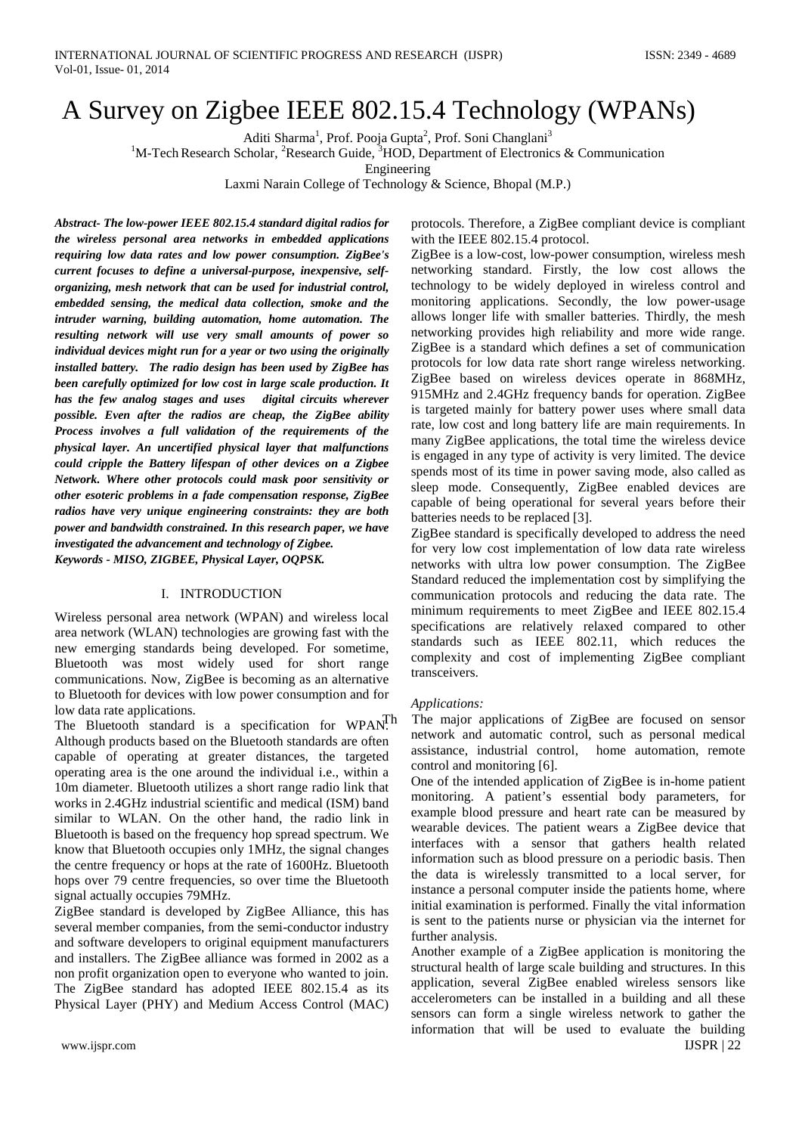# A Survey on Zigbee IEEE 802.15.4 Technology (WPANs)

Aditi Sharma<sup>1</sup>, Prof. Pooja Gupta<sup>2</sup>, Prof. Soni Changlani<sup>3</sup>

<sup>1</sup>M-Tech Research Scholar, <sup>2</sup>Research Guide, <sup>3</sup>HOD, Department of Electronics & Communication

Engineering

Laxmi Narain College of Technology & Science, Bhopal (M.P.)

*Abstract- The low-power IEEE 802.15.4 standard digital radios for the wireless personal area networks in embedded applications requiring low data rates and low power consumption. ZigBee's current focuses to define a universal-purpose, inexpensive, selforganizing, mesh network that can be used for industrial control, embedded sensing, the medical data collection, smoke and the intruder warning, building automation, home automation. The resulting network will use very small amounts of power so individual devices might run for a year or two using the originally installed battery. The radio design has been used by ZigBee has been carefully optimized for low cost in large scale production. It has the few analog stages and uses digital circuits wherever possible. Even after the radios are cheap, the ZigBee ability Process involves a full validation of the requirements of the physical layer. An uncertified physical layer that malfunctions could cripple the Battery lifespan of other devices on a Zigbee Network. Where other protocols could mask poor sensitivity or other esoteric problems in a fade compensation response, ZigBee radios have very unique engineering constraints: they are both power and bandwidth constrained. In this research paper, we have investigated the advancement and technology of Zigbee. Keywords - MISO, ZIGBEE, Physical Layer, OQPSK.*

# I. INTRODUCTION

Wireless personal area network (WPAN) and wireless local area network (WLAN) technologies are growing fast with the new emerging standards being developed. For sometime, Bluetooth was most widely used for short range communications. Now, ZigBee is becoming as an alternative to Bluetooth for devices with low power consumption and for low data rate applications.

The Bluetooth standard is a specification for WPAN.<sup>Th</sup> Although products based on the Bluetooth standards are often capable of operating at greater distances, the targeted operating area is the one around the individual i.e., within a 10m diameter. Bluetooth utilizes a short range radio link that works in 2.4GHz industrial scientific and medical (ISM) band similar to WLAN. On the other hand, the radio link in Bluetooth is based on the frequency hop spread spectrum. We know that Bluetooth occupies only 1MHz, the signal changes the centre frequency or hops at the rate of 1600Hz. Bluetooth hops over 79 centre frequencies, so over time the Bluetooth signal actually occupies 79MHz.

ZigBee standard is developed by ZigBee Alliance, this has several member companies, from the semi-conductor industry and software developers to original equipment manufacturers and installers. The ZigBee alliance was formed in 2002 as a non profit organization open to everyone who wanted to join. The ZigBee standard has adopted IEEE 802.15.4 as its Physical Layer (PHY) and Medium Access Control (MAC)

protocols. Therefore, a ZigBee compliant device is compliant with the IEEE 802.15.4 protocol.

ZigBee is a low-cost, low-power consumption, wireless mesh networking standard. Firstly, the low cost allows the technology to be widely deployed in wireless control and monitoring applications. Secondly, the low power-usage allows longer life with smaller batteries. Thirdly, the mesh networking provides high reliability and more wide range. ZigBee is a standard which defines a set of communication protocols for low data rate short range wireless networking. ZigBee based on wireless devices operate in 868MHz, 915MHz and 2.4GHz frequency bands for operation. ZigBee is targeted mainly for battery power uses where small data rate, low cost and long battery life are main requirements. In many ZigBee applications, the total time the wireless device is engaged in any type of activity is very limited. The device spends most of its time in power saving mode, also called as sleep mode. Consequently, ZigBee enabled devices are capable of being operational for several years before their batteries needs to be replaced [3].

ZigBee standard is specifically developed to address the need for very low cost implementation of low data rate wireless networks with ultra low power consumption. The ZigBee Standard reduced the implementation cost by simplifying the communication protocols and reducing the data rate. The minimum requirements to meet ZigBee and IEEE 802.15.4 specifications are relatively relaxed compared to other standards such as IEEE 802.11, which reduces the complexity and cost of implementing ZigBee compliant transceivers.

# *Applications:*

The major applications of ZigBee are focused on sensor network and automatic control, such as personal medical assistance, industrial control, home automation, remote control and monitoring [6].

One of the intended application of ZigBee is in-home patient monitoring. A patient's essential body parameters, for example blood pressure and heart rate can be measured by wearable devices. The patient wears a ZigBee device that interfaces with a sensor that gathers health related information such as blood pressure on a periodic basis. Then the data is wirelessly transmitted to a local server, for instance a personal computer inside the patients home, where initial examination is performed. Finally the vital information is sent to the patients nurse or physician via the internet for further analysis.

Another example of a ZigBee application is monitoring the structural health of large scale building and structures. In this application, several ZigBee enabled wireless sensors like accelerometers can be installed in a building and all these sensors can form a single wireless network to gather the information that will be used to evaluate the building www.ijspr.com **IJSPR** | 22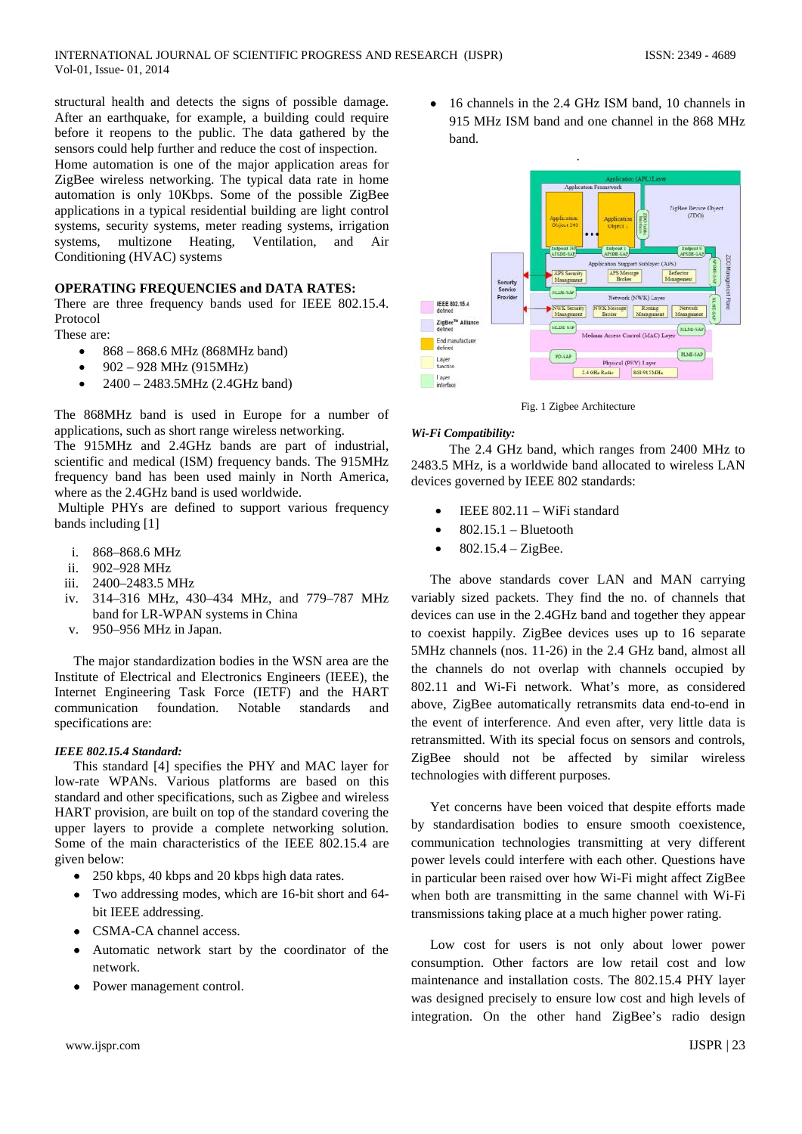structural health and detects the signs of possible damage. After an earthquake, for example, a building could require before it reopens to the public. The data gathered by the sensors could help further and reduce the cost of inspection.

Home automation is one of the major application areas for ZigBee wireless networking. The typical data rate in home automation is only 10Kbps. Some of the possible ZigBee applications in a typical residential building are light control systems, security systems, meter reading systems, irrigation systems, multizone Heating, Ventilation, and Air Conditioning (HVAC) systems

# **OPERATING FREQUENCIES and DATA RATES:**

There are three frequency bands used for IEEE 802.15.4. Protocol

These are:

- 868 868.6 MHz (868MHz band)
- $902 928$  MHz (915MHz)
- 2400 2483.5MHz (2.4GHz band)

The 868MHz band is used in Europe for a number of applications, such as short range wireless networking.

The 915MHz and 2.4GHz bands are part of industrial, scientific and medical (ISM) frequency bands. The 915MHz frequency band has been used mainly in North America, where as the 2.4GHz band is used worldwide.

Multiple PHYs are defined to support various frequency bands including [1]

- i. 868–868.6 MHz
- ii. 902–928 MHz
- iii. 2400–2483.5 MHz
- iv. 314–316 MHz, 430–434 MHz, and 779–787 MHz band for LR-WPAN systems in China
- v. 950–956 MHz in Japan.

The major standardization bodies in the WSN area are the Institute of Electrical and Electronics Engineers (IEEE), the Internet Engineering Task Force (IETF) and the HART communication foundation. Notable standards and specifications are:

# *IEEE 802.15.4 Standard:*

This standard [4] specifies the PHY and MAC layer for low-rate WPANs. Various platforms are based on this standard and other specifications, such as Zigbee and wireless HART provision, are built on top of the standard covering the upper layers to provide a complete networking solution. Some of the main characteristics of the IEEE 802.15.4 are given below:

- 250 kbps, 40 kbps and 20 kbps high data rates.
- Two addressing modes, which are 16-bit short and 64 bit IEEE addressing.
- CSMA-CA channel access.
- Automatic network start by the coordinator of the network.
- Power management control.

• 16 channels in the 2.4 GHz ISM band, 10 channels in 915 MHz ISM band and one channel in the 868 MHz band.



Fig. 1 Zigbee Architecture

# *Wi-Fi Compatibility:*

The 2.4 GHz band, which ranges from 2400 MHz to 2483.5 MHz, is a worldwide band allocated to wireless LAN devices governed by IEEE 802 standards:

- IEEE 802.11 WiFi standard
- $802.15.1 Bluetooth$
- $802.15.4 ZigBee$ .

The above standards cover LAN and MAN carrying variably sized packets. They find the no. of channels that devices can use in the 2.4GHz band and together they appear to coexist happily. ZigBee devices uses up to 16 separate 5MHz channels (nos. 11-26) in the 2.4 GHz band, almost all the channels do not overlap with channels occupied by 802.11 and Wi-Fi network. What's more, as considered above, ZigBee automatically retransmits data end-to-end in the event of interference. And even after, very little data is retransmitted. With its special focus on sensors and controls, ZigBee should not be affected by similar wireless technologies with different purposes.

Yet concerns have been voiced that despite efforts made by standardisation bodies to ensure smooth coexistence, communication technologies transmitting at very different power levels could interfere with each other. Questions have in particular been raised over how Wi-Fi might affect ZigBee when both are transmitting in the same channel with Wi-Fi transmissions taking place at a much higher power rating.

Low cost for users is not only about lower power consumption. Other factors are low retail cost and low maintenance and installation costs. The 802.15.4 PHY layer was designed precisely to ensure low cost and high levels of integration. On the other hand ZigBee's radio design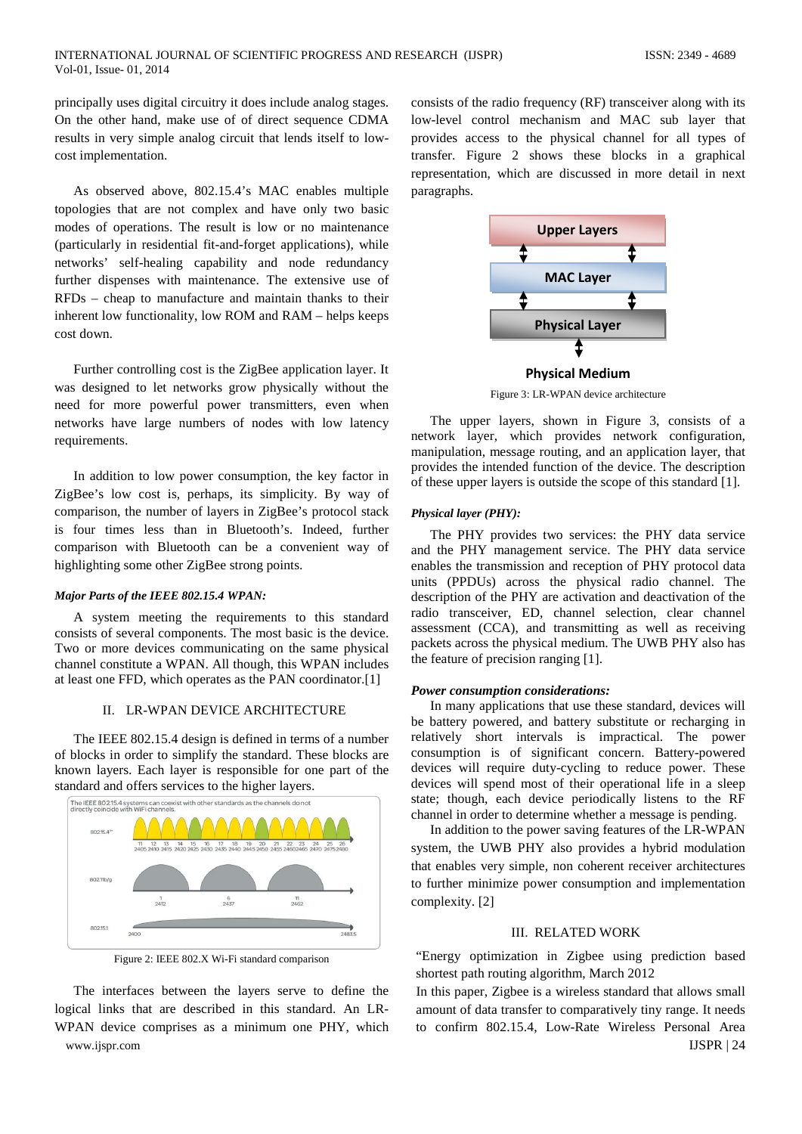principally uses digital circuitry it does include analog stages. On the other hand, make use of of direct sequence CDMA results in very simple analog circuit that lends itself to lowcost implementation.

As observed above, 802.15.4's MAC enables multiple topologies that are not complex and have only two basic modes of operations. The result is low or no maintenance (particularly in residential fit-and-forget applications), while networks' self-healing capability and node redundancy further dispenses with maintenance. The extensive use of RFDs – cheap to manufacture and maintain thanks to their inherent low functionality, low ROM and RAM – helps keeps cost down.

Further controlling cost is the ZigBee application layer. It was designed to let networks grow physically without the need for more powerful power transmitters, even when networks have large numbers of nodes with low latency requirements.

In addition to low power consumption, the key factor in ZigBee's low cost is, perhaps, its simplicity. By way of comparison, the number of layers in ZigBee's protocol stack is four times less than in Bluetooth's. Indeed, further comparison with Bluetooth can be a convenient way of highlighting some other ZigBee strong points.

### *Major Parts of the IEEE 802.15.4 WPAN:*

A system meeting the requirements to this standard consists of several components. The most basic is the device. Two or more devices communicating on the same physical channel constitute a WPAN. All though, this WPAN includes at least one FFD, which operates as the PAN coordinator.[1]

#### II. LR-WPAN DEVICE ARCHITECTURE

The IEEE 802.15.4 design is defined in terms of a number of blocks in order to simplify the standard. These blocks are known layers. Each layer is responsible for one part of the standard and offers services to the higher layers.





The interfaces between the layers serve to define the logical links that are described in this standard. An LR-WPAN device comprises as a minimum one PHY, which www.ijspr.com **IJSPR** | 24

consists of the radio frequency (RF) transceiver along with its low-level control mechanism and MAC sub layer that provides access to the physical channel for all types of transfer. Figure 2 shows these blocks in a graphical representation, which are discussed in more detail in next paragraphs.



Figure 3: LR-WPAN device architecture

The upper layers, shown in Figure 3, consists of a network layer, which provides network configuration, manipulation, message routing, and an application layer, that provides the intended function of the device. The description of these upper layers is outside the scope of this standard [1].

#### *Physical layer (PHY):*

The PHY provides two services: the PHY data service and the PHY management service. The PHY data service enables the transmission and reception of PHY protocol data units (PPDUs) across the physical radio channel. The description of the PHY are activation and deactivation of the radio transceiver, ED, channel selection, clear channel assessment (CCA), and transmitting as well as receiving packets across the physical medium. The UWB PHY also has the feature of precision ranging [1].

#### *Power consumption considerations:*

In many applications that use these standard, devices will be battery powered, and battery substitute or recharging in relatively short intervals is impractical. The power consumption is of significant concern. Battery-powered devices will require duty-cycling to reduce power. These devices will spend most of their operational life in a sleep state; though, each device periodically listens to the RF channel in order to determine whether a message is pending.

In addition to the power saving features of the LR-WPAN system, the UWB PHY also provides a hybrid modulation that enables very simple, non coherent receiver architectures to further minimize power consumption and implementation complexity. [2]

## III. RELATED WORK

"Energy optimization in Zigbee using prediction based shortest path routing algorithm, March 2012

In this paper, Zigbee is a wireless standard that allows small amount of data transfer to comparatively tiny range. It needs to confirm 802.15.4, Low-Rate Wireless Personal Area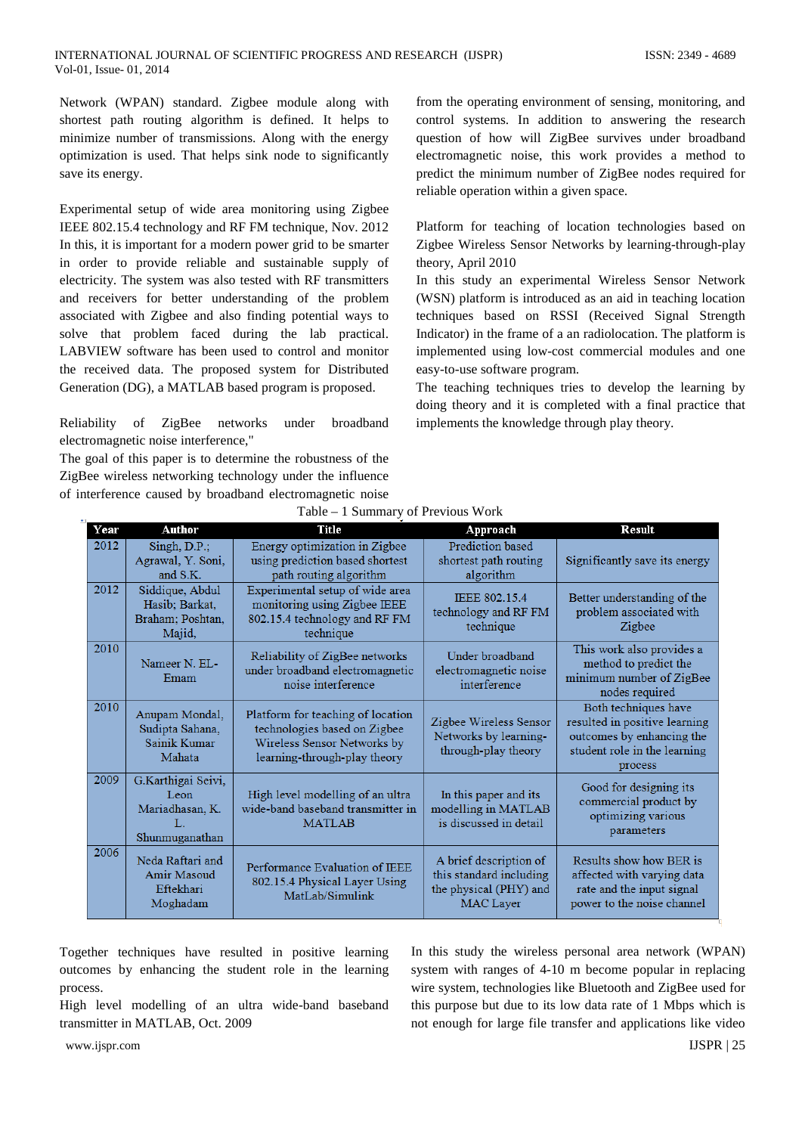Network (WPAN) standard. Zigbee module along with shortest path routing algorithm is defined. It helps to minimize number of transmissions. Along with the energy optimization is used. That helps sink node to significantly save its energy.

Experimental setup of wide area monitoring using Zigbee IEEE 802.15.4 technology and RF FM technique, Nov. 2012 In this, it is important for a modern power grid to be smarter in order to provide reliable and sustainable supply of electricity. The system was also tested with RF transmitters and receivers for better understanding of the problem associated with Zigbee and also finding potential ways to solve that problem faced during the lab practical. LABVIEW software has been used to control and monitor the received data. The proposed system for Distributed Generation (DG), a MATLAB based program is proposed.

Reliability of ZigBee networks under broadband electromagnetic noise interference,"

The goal of this paper is to determine the robustness of the ZigBee wireless networking technology under the influence of interference caused by broadband electromagnetic noise

from the operating environment of sensing, monitoring, and control systems. In addition to answering the research question of how will ZigBee survives under broadband electromagnetic noise, this work provides a method to predict the minimum number of ZigBee nodes required for reliable operation within a given space.

Platform for teaching of location technologies based on Zigbee Wireless Sensor Networks by learning-through-play theory, April 2010

In this study an experimental Wireless Sensor Network (WSN) platform is introduced as an aid in teaching location techniques based on RSSI (Received Signal Strength Indicator) in the frame of a an radiolocation. The platform is implemented using low-cost commercial modules and one easy-to-use software program.

The teaching techniques tries to develop the learning by doing theory and it is completed with a final practice that implements the knowledge through play theory.

| Year | <b>Author</b>                                                         | <b>Title</b>                                                                                                                     | Approach                                                                                        | <b>Result</b>                                                                                                                 |
|------|-----------------------------------------------------------------------|----------------------------------------------------------------------------------------------------------------------------------|-------------------------------------------------------------------------------------------------|-------------------------------------------------------------------------------------------------------------------------------|
| 2012 | $Singh, D.P.$ ;<br>Agrawal, Y. Soni,<br>and S.K.                      | Energy optimization in Zigbee<br>using prediction based shortest<br>path routing algorithm                                       | Prediction based<br>shortest path routing<br>algorithm                                          | Significantly save its energy                                                                                                 |
| 2012 | Siddique, Abdul<br>Hasib; Barkat,<br>Braham; Poshtan,<br>Majid,       | Experimental setup of wide area<br>monitoring using Zigbee IEEE<br>802.15.4 technology and RF FM<br>technique                    | <b>IEEE 802.15.4</b><br>technology and RF FM<br>technique                                       | Better understanding of the<br>problem associated with<br>Zigbee                                                              |
| 2010 | Nameer N. EL-<br>Emam                                                 | Reliability of ZigBee networks<br>under broadband electromagnetic<br>noise interference                                          | Under broadband<br>electromagnetic noise<br>interference                                        | This work also provides a<br>method to predict the<br>minimum number of ZigBee<br>nodes required                              |
| 2010 | Anupam Mondal,<br>Sudipta Sahana,<br>Sainik Kumar<br>Mahata           | Platform for teaching of location<br>technologies based on Zigbee<br>Wireless Sensor Networks by<br>learning-through-play theory | Zigbee Wireless Sensor<br>Networks by learning-<br>through-play theory                          | Both techniques have<br>resulted in positive learning<br>outcomes by enhancing the<br>student role in the learning<br>process |
| 2009 | G.Karthigai Seivi,<br>Leon<br>Mariadhasan, K.<br>Т.<br>Shunmuganathan | High level modelling of an ultra<br>wide-band baseband transmitter in<br><b>MATLAB</b>                                           | In this paper and its<br>modelling in MATLAB<br>is discussed in detail                          | Good for designing its<br>commercial product by<br>optimizing various<br>parameters                                           |
| 2006 | Neda Raftari and<br>Amir Masoud<br>Eftekhari<br>Moghadam              | Performance Evaluation of IEEE<br>802.15.4 Physical Layer Using<br>MatLab/Simulink                                               | A brief description of<br>this standard including<br>the physical (PHY) and<br><b>MAC</b> Layer | Results show how BER is<br>affected with varying data<br>rate and the input signal<br>power to the noise channel              |

|  | Table – 1 Summary of Previous Work |  |
|--|------------------------------------|--|

Together techniques have resulted in positive learning outcomes by enhancing the student role in the learning process.

High level modelling of an ultra wide-band baseband transmitter in MATLAB*,* Oct. 2009

In this study the wireless personal area network (WPAN) system with ranges of 4-10 m become popular in replacing wire system, technologies like Bluetooth and ZigBee used for this purpose but due to its low data rate of 1 Mbps which is not enough for large file transfer and applications like video

www.ijspr.com **IJSPR** | 25